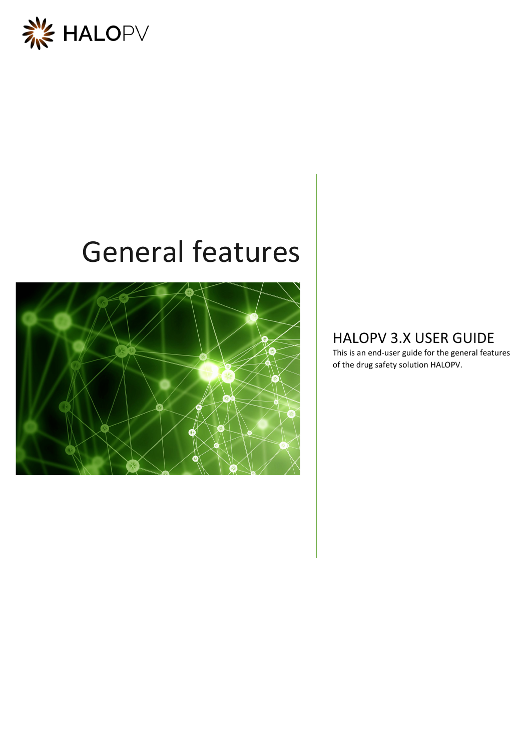

# General features



## HALOPV 3.X USER GUIDE

This is an end-user guide for the general features of the drug safety solution HALOPV.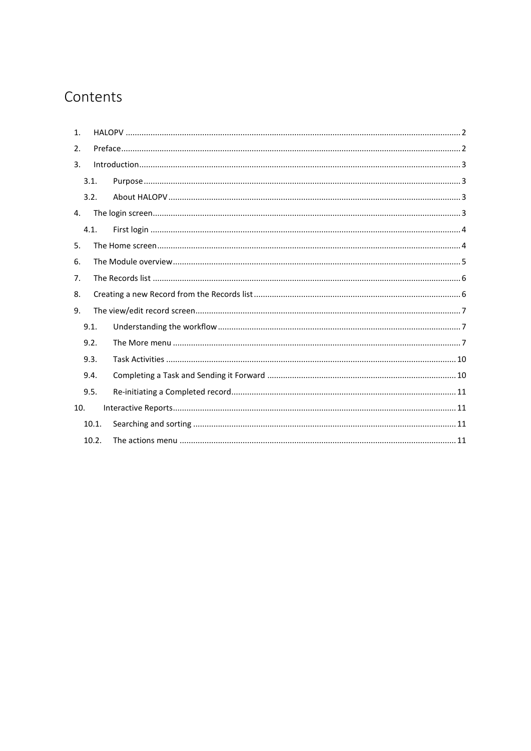# Contents

| $\mathbf{1}$ . |       |  |  |  |  |  |  |
|----------------|-------|--|--|--|--|--|--|
| 2.             |       |  |  |  |  |  |  |
| 3.             |       |  |  |  |  |  |  |
|                | 3.1.  |  |  |  |  |  |  |
|                | 3.2.  |  |  |  |  |  |  |
| 4.             |       |  |  |  |  |  |  |
|                | 4.1.  |  |  |  |  |  |  |
| 5.             |       |  |  |  |  |  |  |
| 6.             |       |  |  |  |  |  |  |
| 7.             |       |  |  |  |  |  |  |
| 8.             |       |  |  |  |  |  |  |
| 9.             |       |  |  |  |  |  |  |
|                | 9.1.  |  |  |  |  |  |  |
|                | 9.2.  |  |  |  |  |  |  |
|                | 9.3.  |  |  |  |  |  |  |
|                | 9.4.  |  |  |  |  |  |  |
|                | 9.5.  |  |  |  |  |  |  |
| 10.            |       |  |  |  |  |  |  |
|                | 10.1. |  |  |  |  |  |  |
|                | 10.2. |  |  |  |  |  |  |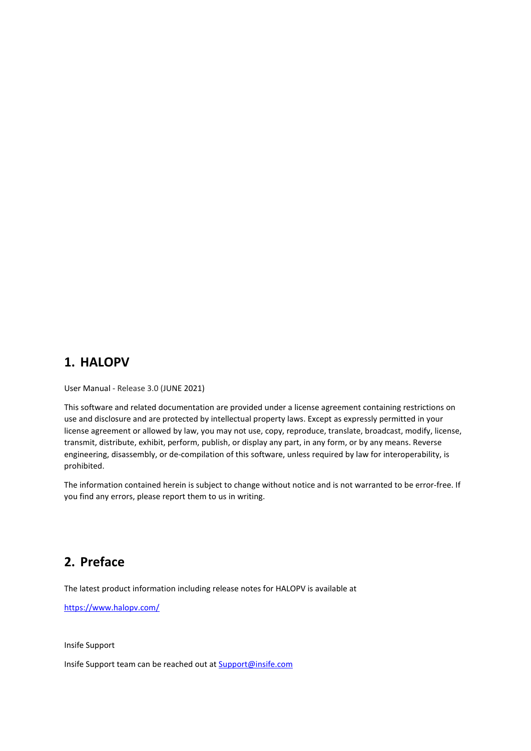## <span id="page-2-0"></span>**1. HALOPV**

User Manual - Release 3.0 (JUNE 2021)

This software and related documentation are provided under a license agreement containing restrictions on use and disclosure and are protected by intellectual property laws. Except as expressly permitted in your license agreement or allowed by law, you may not use, copy, reproduce, translate, broadcast, modify, license, transmit, distribute, exhibit, perform, publish, or display any part, in any form, or by any means. Reverse engineering, disassembly, or de-compilation of this software, unless required by law for interoperability, is prohibited.

The information contained herein is subject to change without notice and is not warranted to be error-free. If you find any errors, please report them to us in writing.

## <span id="page-2-1"></span>**2. Preface**

The latest product information including release notes for HALOPV is available at

<https://www.halopv.com/>

Insife Support

Insife Support team can be reached out at [Support@insife.com](mailto:Support@insife.com)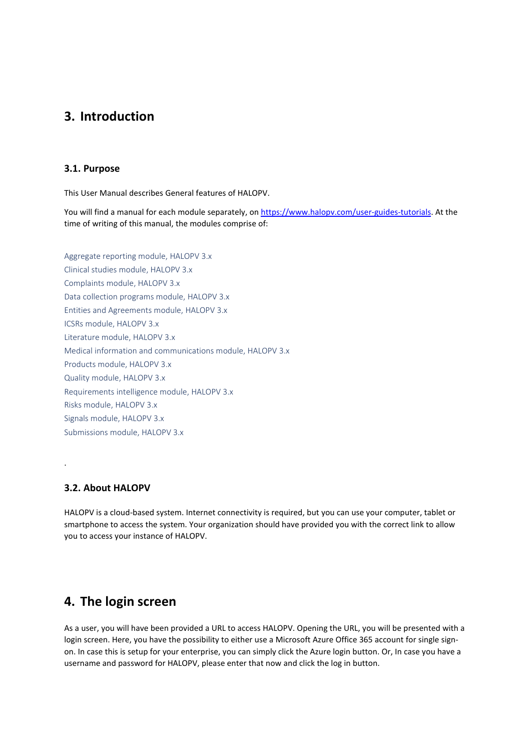## <span id="page-3-0"></span>**3. Introduction**

#### <span id="page-3-1"></span>**3.1. Purpose**

This User Manual describes General features of HALOPV.

You will find a manual for each module separately, o[n https://www.halopv.com/user-guides-tutorials.](https://www.halopv.com/user-guides-tutorials) At the time of writing of this manual, the modules comprise of:

Aggregate reporting module, HALOPV 3.x Clinical studies module, HALOPV 3.x Complaints module, HALOPV 3.x Data collection programs module, HALOPV 3.x Entities and Agreements module, HALOPV 3.x ICSRs module, HALOPV 3.x Literature module, HALOPV 3.x Medical information and communications module, HALOPV 3.x Products module, HALOPV 3.x Quality module, HALOPV 3.x Requirements intelligence module, HALOPV 3.x Risks module, HALOPV 3.x Signals module, HALOPV 3.x Submissions module, HALOPV 3.x

#### <span id="page-3-2"></span>**3.2. About HALOPV**

.

HALOPV is a cloud-based system. Internet connectivity is required, but you can use your computer, tablet or smartphone to access the system. Your organization should have provided you with the correct link to allow you to access your instance of HALOPV.

## <span id="page-3-3"></span>**4. The login screen**

As a user, you will have been provided a URL to access HALOPV. Opening the URL, you will be presented with a login screen. Here, you have the possibility to either use a Microsoft Azure Office 365 account for single signon. In case this is setup for your enterprise, you can simply click the Azure login button. Or, In case you have a username and password for HALOPV, please enter that now and click the log in button.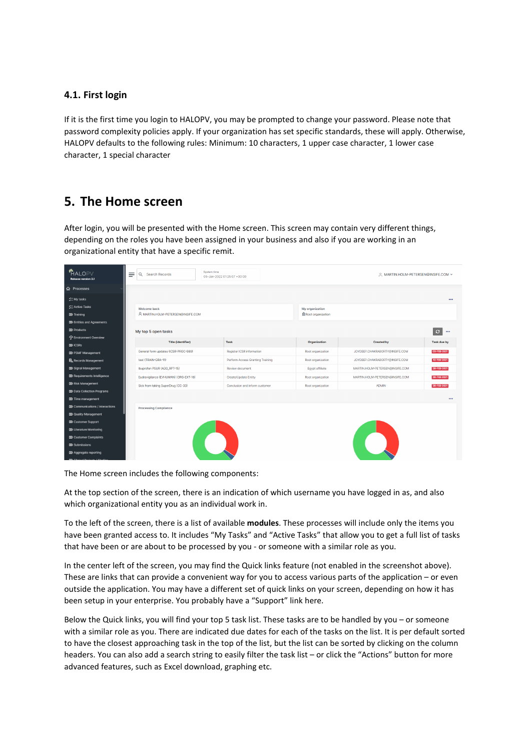#### <span id="page-4-0"></span>**4.1. First login**

If it is the first time you login to HALOPV, you may be prompted to change your password. Please note that password complexity policies apply. If your organization has set specific standards, these will apply. Otherwise, HALOPV defaults to the following rules: Minimum: 10 characters, 1 upper case character, 1 lower case character, 1 special character

## <span id="page-4-1"></span>**5. The Home screen**

After login, you will be presented with the Home screen. This screen may contain very different things, depending on the roles you have been assigned in your business and also if you are working in an organizational entity that have a specific remit.

| <b>*HALOPV</b><br><b>Release version 3.1</b>                                                     | Ξ<br>Search Records<br>Q                                 | System time<br>05-Jan-2022 01:25:07 +00:00 | A MARTIN.HOLM-PETERSEN@INSIFE.COM ~         |                                 |                         |  |
|--------------------------------------------------------------------------------------------------|----------------------------------------------------------|--------------------------------------------|---------------------------------------------|---------------------------------|-------------------------|--|
| <b>命</b> Processes                                                                               |                                                          |                                            |                                             |                                 |                         |  |
| $\angle$ My tasks<br>SE Active Tasks<br><b>DD</b> Training                                       | <b>Welcome back</b><br>A MARTIN.HOLM-PETERSEN@INSIFE.COM |                                            | My organization<br><b>Root</b> organization |                                 | 000                     |  |
| <b>DO</b> Entities and Agreements<br>$D\!\!\!\!\Sigma$ Products<br><b>O</b> Environment Overview | My top 5 open tasks                                      |                                            |                                             |                                 | 000                     |  |
| $D\!\!\!\!\Sigma$ ICSRs                                                                          | <b>Title (identifier)</b>                                | Task                                       | Organization                                | <b>Created by</b>               | <b>Task due by</b>      |  |
| <b>DO PSMF Management</b>                                                                        | General form updates (ICSR-PROC-989)                     | <b>Register ICSR information</b>           | Root organization                           | JOYDEEP.CHAKRABORTY@INSIFE.COM  | 03-FEB-2021             |  |
| <b>島</b> , Records Management                                                                    | test (TRAIN-GRA-11)                                      | Perform Access Granting Training           | Root organization                           | JOYDEEP.CHAKRABORTY@INSIFE.COM  | 10-FEB-2021             |  |
| <b>D</b> Signal Management                                                                       | Ibuprofen PSUR (AGG_RPT-15)                              | Review document                            | Egypt affiliate                             | MARTIN.HOLM-PETERSEN@INSIFE.COM | 28-FEB-2021             |  |
| <b>DO</b> Requirements Intelligence                                                              | Eudravigilance (EVHUMAN) (ORG-EXT-18)                    | <b>Create/Update Entity</b>                | Root organization                           | MARTIN.HOLM-PETERSEN@INSIFE.COM | 28-FEB-2021             |  |
| <b>DD</b> Risk Management                                                                        | Sick from taking SuperDrug (CC-33)                       | Conclusion and inform customer             | Root organization                           | <b>ADMIN</b>                    | 28-FEB-2021             |  |
| <b>DO</b> Data Collection Programs<br>DD Time management                                         |                                                          |                                            |                                             |                                 | $\bullet\bullet\bullet$ |  |
| DD Communications / Interactions                                                                 | <b>Processing Compliance</b>                             |                                            |                                             |                                 |                         |  |
| <b>DD</b> Quality Management                                                                     |                                                          |                                            |                                             |                                 |                         |  |
| <b>DD</b> Customer Support                                                                       |                                                          |                                            |                                             |                                 |                         |  |
| <b>DD</b> Literature Monitoring<br><b>DD</b> Customer Complaints                                 |                                                          |                                            |                                             |                                 |                         |  |
| <b>DD</b> Submissions                                                                            |                                                          |                                            |                                             |                                 |                         |  |
| DD Aggregate reporting                                                                           |                                                          |                                            |                                             |                                 |                         |  |
| Collection Continues 17                                                                          |                                                          |                                            |                                             |                                 |                         |  |

The Home screen includes the following components:

At the top section of the screen, there is an indication of which username you have logged in as, and also which organizational entity you as an individual work in.

To the left of the screen, there is a list of available **modules**. These processes will include only the items you have been granted access to. It includes "My Tasks" and "Active Tasks" that allow you to get a full list of tasks that have been or are about to be processed by you - or someone with a similar role as you.

In the center left of the screen, you may find the Quick links feature (not enabled in the screenshot above). These are links that can provide a convenient way for you to access various parts of the application – or even outside the application. You may have a different set of quick links on your screen, depending on how it has been setup in your enterprise. You probably have a "Support" link here.

Below the Quick links, you will find your top 5 task list. These tasks are to be handled by you – or someone with a similar role as you. There are indicated due dates for each of the tasks on the list. It is per default sorted to have the closest approaching task in the top of the list, but the list can be sorted by clicking on the column headers. You can also add a search string to easily filter the task list – or click the "Actions" button for more advanced features, such as Excel download, graphing etc.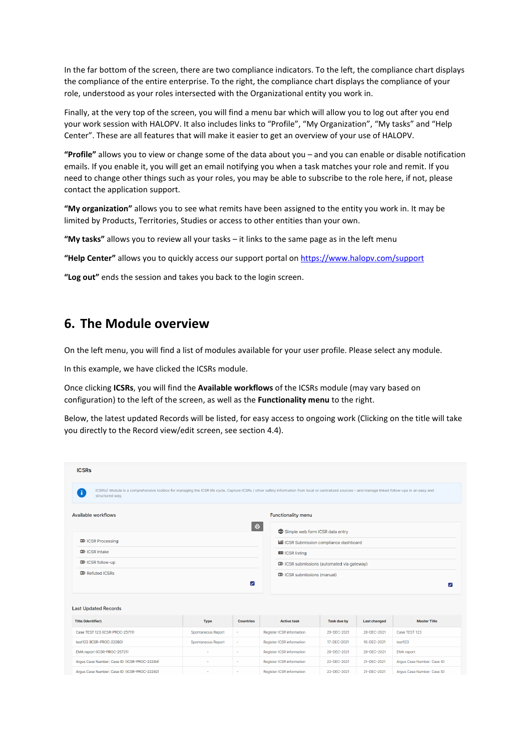In the far bottom of the screen, there are two compliance indicators. To the left, the compliance chart displays the compliance of the entire enterprise. To the right, the compliance chart displays the compliance of your role, understood as your roles intersected with the Organizational entity you work in.

Finally, at the very top of the screen, you will find a menu bar which will allow you to log out after you end your work session with HALOPV. It also includes links to "Profile", "My Organization", "My tasks" and "Help Center". These are all features that will make it easier to get an overview of your use of HALOPV.

**"Profile"** allows you to view or change some of the data about you – and you can enable or disable notification emails. If you enable it, you will get an email notifying you when a task matches your role and remit. If you need to change other things such as your roles, you may be able to subscribe to the role here, if not, please contact the application support.

**"My organization"** allows you to see what remits have been assigned to the entity you work in. It may be limited by Products, Territories, Studies or access to other entities than your own.

**"My tasks"** allows you to review all your tasks – it links to the same page as in the left menu

**"Help Center"** allows you to quickly access our support portal on<https://www.halopv.com/support>

**"Log out"** ends the session and takes you back to the login screen.

### <span id="page-5-0"></span>**6. The Module overview**

On the left menu, you will find a list of modules available for your user profile. Please select any module.

In this example, we have clicked the ICSRs module.

Once clicking **ICSRs**, you will find the **Available workflows** of the ICSRs module (may vary based on configuration) to the left of the screen, as well as the **Functionality menu** to the right.

Below, the latest updated Records will be listed, for easy access to ongoing work (Clicking on the title will take you directly to the Record view/edit screen, see section [4.4\)](#page-7-0).

| <b>ICSRs</b>                                                                                                                                                                                                                 |                                                           |                  |  |                                              |                    |                     |                             |  |  |
|------------------------------------------------------------------------------------------------------------------------------------------------------------------------------------------------------------------------------|-----------------------------------------------------------|------------------|--|----------------------------------------------|--------------------|---------------------|-----------------------------|--|--|
| ICSR(s) Module is a comprehensive toolbox for managing the ICSR life cycle. Capture ICSRs / other safety information from local or centralized sources - and manage linked follow-ups in an easy and<br>÷<br>structured way. |                                                           |                  |  |                                              |                    |                     |                             |  |  |
| Available workflows                                                                                                                                                                                                          |                                                           |                  |  | <b>Functionality menu</b>                    |                    |                     |                             |  |  |
|                                                                                                                                                                                                                              |                                                           | $\bigoplus$      |  | Simple web form ICSR data entry              |                    |                     |                             |  |  |
| $\mathbf{\Sigma}\!\mathbf{\Sigma}$ ICSR Processing                                                                                                                                                                           |                                                           |                  |  | ICSR Submission compliance dashboard         |                    |                     |                             |  |  |
| $\mathbf{D}$ ICSR Intake                                                                                                                                                                                                     |                                                           |                  |  | <b>田 ICSR listing</b>                        |                    |                     |                             |  |  |
| $\mathbf{D}$ ICSR follow-up                                                                                                                                                                                                  |                                                           |                  |  | DID ICSR submissions (automated via gateway) |                    |                     |                             |  |  |
| <b>DD</b> Refuted ICSRs                                                                                                                                                                                                      |                                                           |                  |  | DID ICSR submissions (manual)                |                    |                     |                             |  |  |
|                                                                                                                                                                                                                              |                                                           | Z                |  | ☑                                            |                    |                     |                             |  |  |
| <b>Last Updated Records</b>                                                                                                                                                                                                  |                                                           |                  |  |                                              |                    |                     |                             |  |  |
| <b>Title (Identifier)</b>                                                                                                                                                                                                    | Type                                                      | <b>Countries</b> |  | <b>Active task</b>                           | <b>Task due by</b> | <b>Last changed</b> | <b>Master Title</b>         |  |  |
| Case TEST 123 (ICSR-PROC-25711)                                                                                                                                                                                              | Spontaneous Report                                        | ×,               |  | Register ICSR information                    | 29-DEC-2021        | 28-DEC-2021         | Case TEST 123               |  |  |
| test123 (ICSR-PROC-22280)                                                                                                                                                                                                    | Spontaneous Report<br>Register ICSR information<br>$\sim$ |                  |  |                                              | 17-DEC-2021        | 16-DEC-2021         | test123                     |  |  |
| EMA report (ICSR-PROC-25721)                                                                                                                                                                                                 |                                                           | ٠                |  | Register ICSR information                    | 29-DEC-2021        | 28-DEC-2021         | <b>EMA</b> report           |  |  |
| Argus Case Number: Case ID: (ICSR-PROC-22284)                                                                                                                                                                                |                                                           | $\sim$           |  | Register ICSR information                    | 22-DEC-2021        | 21-DEC-2021         | Argus Case Number: Case ID: |  |  |
| Argus Case Number: Case ID: (ICSR-PROC-22282)                                                                                                                                                                                |                                                           | ٠                |  | Register ICSR information                    | 22-DEC-2021        | 21-DEC-2021         | Araus Case Number: Case ID: |  |  |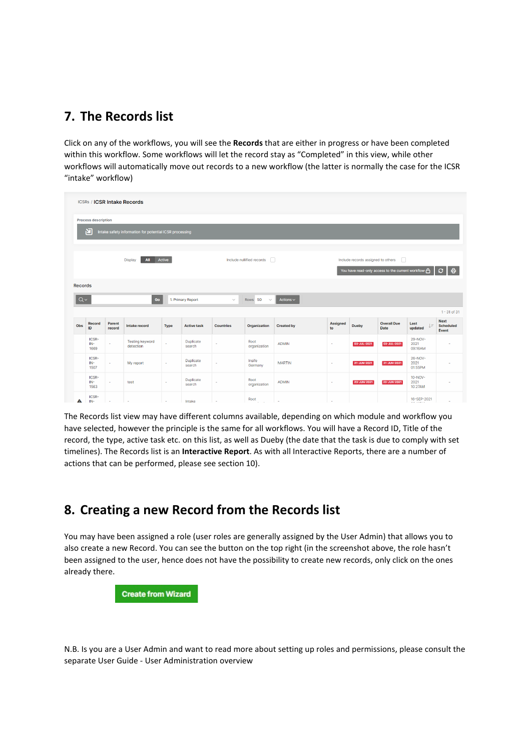## <span id="page-6-0"></span>**7. The Records list**

Click on any of the workflows, you will see the **Records** that are either in progress or have been completed within this workflow. Some workflows will let the record stay as "Completed" in this view, while other workflows will automatically move out records to a new workflow (the latter is normally the case for the ICSR "intake" workflow)

| <b>ICSRs / ICSR Intake Records</b> |                                                              |                  |                                     |                          |                     |                  |                                     |                   |                       |                                    |                                                     |                            |                                                 |
|------------------------------------|--------------------------------------------------------------|------------------|-------------------------------------|--------------------------|---------------------|------------------|-------------------------------------|-------------------|-----------------------|------------------------------------|-----------------------------------------------------|----------------------------|-------------------------------------------------|
| <b>Process description</b>         |                                                              |                  |                                     |                          |                     |                  |                                     |                   |                       |                                    |                                                     |                            |                                                 |
|                                    | 凹<br>Intake safety information for potential ICSR processing |                  |                                     |                          |                     |                  |                                     |                   |                       |                                    |                                                     |                            |                                                 |
|                                    |                                                              |                  |                                     |                          |                     |                  |                                     |                   |                       |                                    |                                                     |                            |                                                 |
|                                    |                                                              |                  | Display<br>All                      | Active                   |                     |                  | Include nullified records<br>$\Box$ |                   |                       | Include records assigned to others | п                                                   |                            |                                                 |
|                                    |                                                              |                  |                                     |                          |                     |                  |                                     |                   |                       |                                    | You have read-only access to the current workflow A |                            | $\oplus$<br>ø                                   |
| <b>Records</b>                     |                                                              |                  |                                     |                          |                     |                  |                                     |                   |                       |                                    |                                                     |                            |                                                 |
| $Q \vee$                           |                                                              |                  | Go                                  |                          | 1. Primary Report   | $\checkmark$     | Rows <sub>50</sub><br>$\checkmark$  | Actions $\sim$    |                       |                                    |                                                     |                            |                                                 |
|                                    |                                                              |                  |                                     |                          |                     |                  |                                     |                   |                       |                                    |                                                     |                            | $1 - 31$ of 31                                  |
| Obs                                | <b>Record</b><br>ID                                          | Parent<br>record | Intake record                       | <b>Type</b>              | <b>Active task</b>  | <b>Countries</b> | Organization                        | <b>Created by</b> | <b>Assigned</b><br>to | <b>Dueby</b>                       | <b>Overall Due</b><br><b>Date</b>                   | Last<br>$l =$<br>updated   | <b>Next</b><br><b>Scheduled</b><br><b>Event</b> |
|                                    | ICSR-<br>IN-<br>1669                                         | ٠                | <b>Testing keyword</b><br>detection |                          | Duplicate<br>search | ×.               | Root<br>organization                | <b>ADMIN</b>      | ٠                     | 03-JUL-2021                        | 03-JUL-2021                                         | 29-NOV-<br>2021<br>09:16AM |                                                 |
|                                    | ICSR-<br>IN-<br>1507                                         | $\sim$           | My report                           | $\sim$                   | Duplicate<br>search |                  | Insife<br>Germany                   | <b>MARTIN</b>     | ٠                     | 21-JUN-2021                        | 21-JUN-2021                                         | 26-NOV-<br>2021<br>01:55PM |                                                 |
|                                    | ICSR-<br>IN-<br>1563                                         | ٠                | test                                | $\overline{\phantom{a}}$ | Duplicate<br>search | ÷                | Root<br>organization                | <b>ADMIN</b>      | ٠                     | 23-JUN-2021                        | 23-JUN-2021                                         | 10-NOV-<br>2021<br>10:27AM |                                                 |
| Α                                  | ICSR-<br>IN-                                                 | з.               | $\sim$                              | $\sim$                   | Intake              | in 1919.         | Root<br>$\sim$                      | $\sim$            | <b>Section</b>        |                                    |                                                     | 16-SEP-2021<br>.           |                                                 |

The Records list view may have different columns available, depending on which module and workflow you have selected, however the principle is the same for all workflows. You will have a Record ID, Title of the record, the type, active task etc. on this list, as well as Dueby (the date that the task is due to comply with set timelines). The Records list is an **Interactive Report**. As with all Interactive Reports, there are a number of actions that can be performed, please see section [10\)](#page-11-1).

## <span id="page-6-1"></span>**8. Creating a new Record from the Records list**

You may have been assigned a role (user roles are generally assigned by the User Admin) that allows you to also create a new Record. You can see the button on the top right (in the screenshot above, the role hasn't been assigned to the user, hence does not have the possibility to create new records, only click on the ones already there.

**Create from Wizard** 

N.B. Is you are a User Admin and want to read more about setting up roles and permissions, please consult the separate User Guide - User Administration overview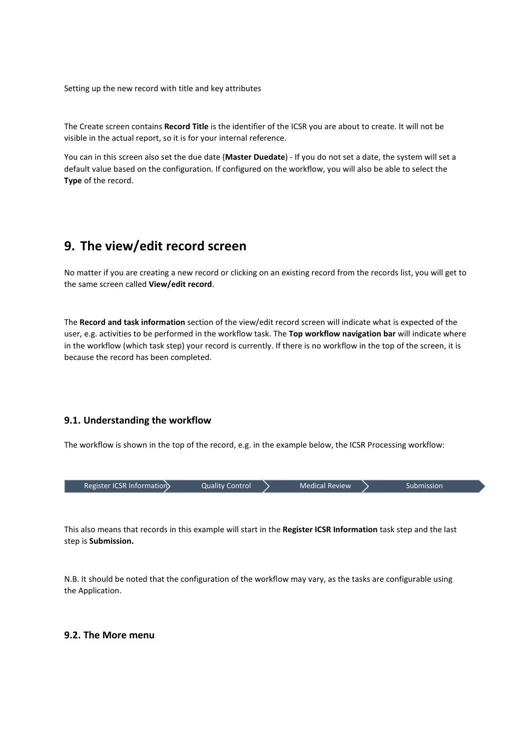Setting up the new record with title and key attributes

The Create screen contains **Record Title** is the identifier of the ICSR you are about to create. It will not be visible in the actual report, so it is for your internal reference.

You can in this screen also set the due date (**Master Duedate**) - If you do not set a date, the system will set a default value based on the configuration. If configured on the workflow, you will also be able to select the **Type** of the record.

## <span id="page-7-0"></span>**9. The view/edit record screen**

No matter if you are creating a new record or clicking on an existing record from the records list, you will get to the same screen called **View/edit record**.

The **Record and task information** section of the view/edit record screen will indicate what is expected of the user, e.g. activities to be performed in the workflow task. The **Top workflow navigation bar** will indicate where in the workflow (which task step) your record is currently. If there is no workflow in the top of the screen, it is because the record has been completed.

#### <span id="page-7-1"></span>**9.1. Understanding the workflow**

The workflow is shown in the top of the record, e.g. in the example below, the ICSR Processing workflow:

| Register ICSR Information | Quality Control | <b>Medical Review</b> | Submission |
|---------------------------|-----------------|-----------------------|------------|
|                           |                 |                       |            |

This also means that records in this example will start in the **Register ICSR Information** task step and the last step is **Submission.**

N.B. It should be noted that the configuration of the workflow may vary, as the tasks are configurable using the Application.

#### <span id="page-7-2"></span>**9.2. The More menu**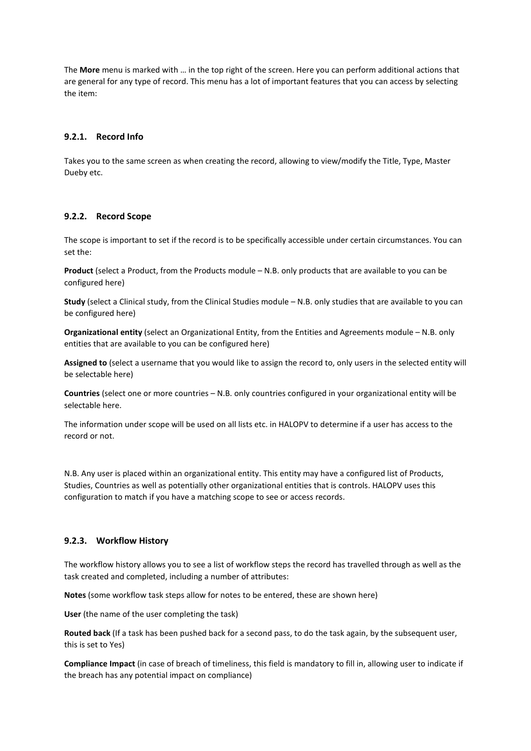The **More** menu is marked with … in the top right of the screen. Here you can perform additional actions that are general for any type of record. This menu has a lot of important features that you can access by selecting the item:

#### **9.2.1. Record Info**

Takes you to the same screen as when creating the record, allowing to view/modify the Title, Type, Master Dueby etc.

#### **9.2.2. Record Scope**

The scope is important to set if the record is to be specifically accessible under certain circumstances. You can set the:

**Product** (select a Product, from the Products module – N.B. only products that are available to you can be configured here)

**Study** (select a Clinical study, from the Clinical Studies module – N.B. only studies that are available to you can be configured here)

**Organizational entity** (select an Organizational Entity, from the Entities and Agreements module – N.B. only entities that are available to you can be configured here)

**Assigned to** (select a username that you would like to assign the record to, only users in the selected entity will be selectable here)

**Countries** (select one or more countries – N.B. only countries configured in your organizational entity will be selectable here.

The information under scope will be used on all lists etc. in HALOPV to determine if a user has access to the record or not.

N.B. Any user is placed within an organizational entity. This entity may have a configured list of Products, Studies, Countries as well as potentially other organizational entities that is controls. HALOPV uses this configuration to match if you have a matching scope to see or access records.

#### **9.2.3. Workflow History**

The workflow history allows you to see a list of workflow steps the record has travelled through as well as the task created and completed, including a number of attributes:

**Notes** (some workflow task steps allow for notes to be entered, these are shown here)

**User** (the name of the user completing the task)

**Routed back** (If a task has been pushed back for a second pass, to do the task again, by the subsequent user, this is set to Yes)

**Compliance Impact** (in case of breach of timeliness, this field is mandatory to fill in, allowing user to indicate if the breach has any potential impact on compliance)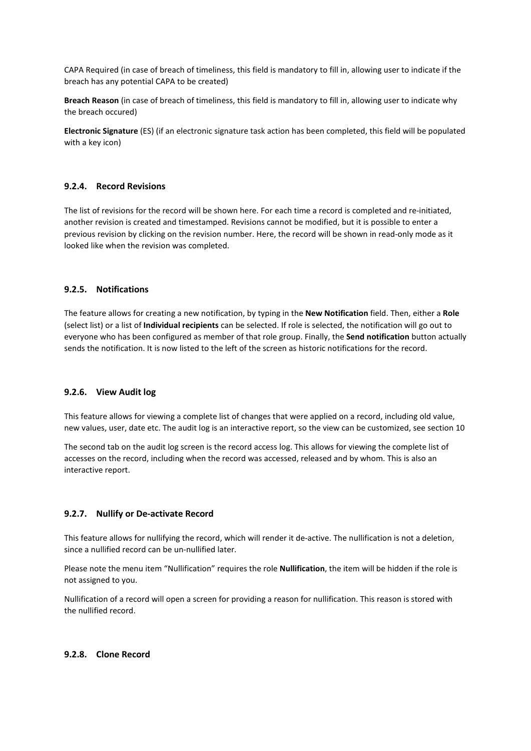CAPA Required (in case of breach of timeliness, this field is mandatory to fill in, allowing user to indicate if the breach has any potential CAPA to be created)

**Breach Reason** (in case of breach of timeliness, this field is mandatory to fill in, allowing user to indicate why the breach occured)

**Electronic Signature** (ES) (if an electronic signature task action has been completed, this field will be populated with a key icon)

#### **9.2.4. Record Revisions**

The list of revisions for the record will be shown here. For each time a record is completed and re-initiated, another revision is created and timestamped. Revisions cannot be modified, but it is possible to enter a previous revision by clicking on the revision number. Here, the record will be shown in read-only mode as it looked like when the revision was completed.

#### **9.2.5. Notifications**

The feature allows for creating a new notification, by typing in the **New Notification** field. Then, either a **Role** (select list) or a list of **Individual recipients** can be selected. If role is selected, the notification will go out to everyone who has been configured as member of that role group. Finally, the **Send notification** button actually sends the notification. It is now listed to the left of the screen as historic notifications for the record.

#### **9.2.6. View Audit log**

This feature allows for viewing a complete list of changes that were applied on a record, including old value, new values, user, date etc. The audit log is an interactive report, so the view can be customized, see section [10](#page-11-1)

The second tab on the audit log screen is the record access log. This allows for viewing the complete list of accesses on the record, including when the record was accessed, released and by whom. This is also an interactive report.

#### **9.2.7. Nullify or De-activate Record**

This feature allows for nullifying the record, which will render it de-active. The nullification is not a deletion, since a nullified record can be un-nullified later.

Please note the menu item "Nullification" requires the role **Nullification**, the item will be hidden if the role is not assigned to you.

Nullification of a record will open a screen for providing a reason for nullification. This reason is stored with the nullified record.

#### **9.2.8. Clone Record**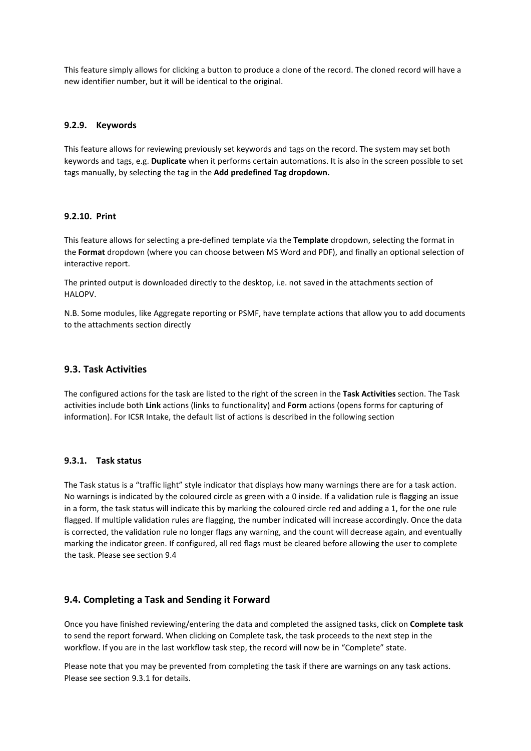This feature simply allows for clicking a button to produce a clone of the record. The cloned record will have a new identifier number, but it will be identical to the original.

#### **9.2.9. Keywords**

This feature allows for reviewing previously set keywords and tags on the record. The system may set both keywords and tags, e.g. **Duplicate** when it performs certain automations. It is also in the screen possible to set tags manually, by selecting the tag in the **Add predefined Tag dropdown.**

#### **9.2.10. Print**

This feature allows for selecting a pre-defined template via the **Template** dropdown, selecting the format in the **Format** dropdown (where you can choose between MS Word and PDF), and finally an optional selection of interactive report.

The printed output is downloaded directly to the desktop, i.e. not saved in the attachments section of HALOPV.

N.B. Some modules, like Aggregate reporting or PSMF, have template actions that allow you to add documents to the attachments section directly

#### <span id="page-10-0"></span>**9.3. Task Activities**

The configured actions for the task are listed to the right of the screen in the **Task Activities** section. The Task activities include both **Link** actions (links to functionality) and **Form** actions (opens forms for capturing of information). For ICSR Intake, the default list of actions is described in the following section

#### <span id="page-10-2"></span>**9.3.1. Task status**

The Task status is a "traffic light" style indicator that displays how many warnings there are for a task action. No warnings is indicated by the coloured circle as green with a 0 inside. If a validation rule is flagging an issue in a form, the task status will indicate this by marking the coloured circle red and adding a 1, for the one rule flagged. If multiple validation rules are flagging, the number indicated will increase accordingly. Once the data is corrected, the validation rule no longer flags any warning, and the count will decrease again, and eventually marking the indicator green. If configured, all red flags must be cleared before allowing the user to complete the task. Please see section [9.4](#page-10-1)

#### <span id="page-10-1"></span>**9.4. Completing a Task and Sending it Forward**

Once you have finished reviewing/entering the data and completed the assigned tasks, click on **Complete task** to send the report forward. When clicking on Complete task, the task proceeds to the next step in the workflow. If you are in the last workflow task step, the record will now be in "Complete" state.

Please note that you may be prevented from completing the task if there are warnings on any task actions. Please see section [9.3.1](#page-10-2) for details.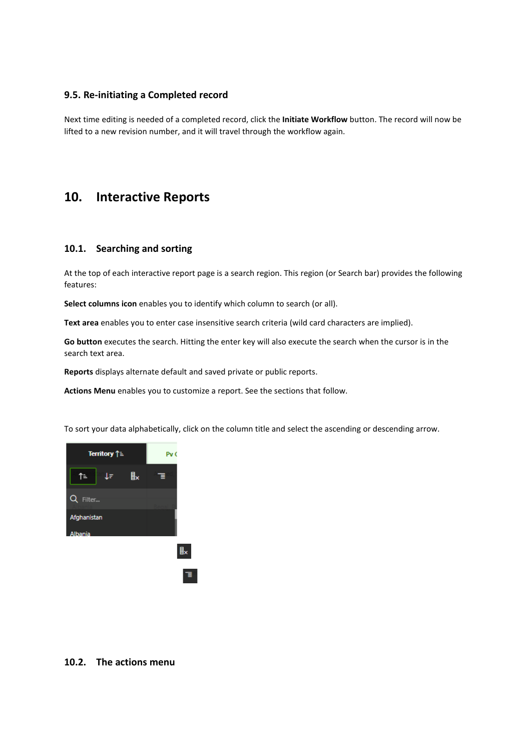#### <span id="page-11-0"></span>**9.5. Re-initiating a Completed record**

Next time editing is needed of a completed record, click the **Initiate Workflow** button. The record will now be lifted to a new revision number, and it will travel through the workflow again.

## <span id="page-11-1"></span>**10. Interactive Reports**

#### <span id="page-11-2"></span>**10.1. Searching and sorting**

At the top of each interactive report page is a search region. This region (or Search bar) provides the following features:

**Select columns icon** enables you to identify which column to search (or all).

**Text area** enables you to enter case insensitive search criteria (wild card characters are implied).

**Go button** executes the search. Hitting the enter key will also execute the search when the cursor is in the search text area.

**Reports** displays alternate default and saved private or public reports.

**Actions Menu** enables you to customize a report. See the sections that follow.

To sort your data alphabetically, click on the column title and select the ascending or descending arrow.



#### <span id="page-11-3"></span>**10.2. The actions menu**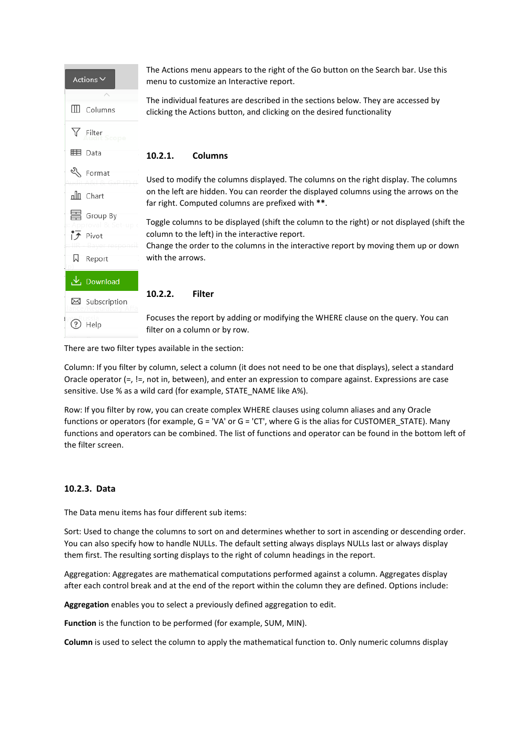| Actions $\vee$                                  | The Actions menu appears to the right of the Go button on the Search bar. Use this<br>menu to customize an Interactive report.                                                                                                                          |
|-------------------------------------------------|---------------------------------------------------------------------------------------------------------------------------------------------------------------------------------------------------------------------------------------------------------|
| <b>III</b> Columns                              | The individual features are described in the sections below. They are accessed by<br>clicking the Actions button, and clicking on the desired functionality                                                                                             |
| Filter                                          |                                                                                                                                                                                                                                                         |
| 田 Data                                          | 10.2.1.<br><b>Columns</b>                                                                                                                                                                                                                               |
| ≪∖<br>Format<br>nlll Chart                      | Used to modify the columns displayed. The columns on the right display. The columns<br>on the left are hidden. You can reorder the displayed columns using the arrows on the<br>far right. Computed columns are prefixed with **.                       |
| Group By<br>$\overline{f}$ Pivot<br>W<br>Report | Toggle columns to be displayed (shift the column to the right) or not displayed (shift the<br>column to the left) in the interactive report.<br>Change the order to the columns in the interactive report by moving them up or down<br>with the arrows. |
| <u>し</u> Download<br>Subscription<br>$\bowtie$  | 10.2.2.<br><b>Filter</b>                                                                                                                                                                                                                                |
| Help                                            | Focuses the report by adding or modifying the WHERE clause on the query. You can<br>filter on a column or by row.                                                                                                                                       |

There are two filter types available in the section:

Column: If you filter by column, select a column (it does not need to be one that displays), select a standard Oracle operator (=, !=, not in, between), and enter an expression to compare against. Expressions are case sensitive. Use % as a wild card (for example, STATE\_NAME like A%).

Row: If you filter by row, you can create complex WHERE clauses using column aliases and any Oracle functions or operators (for example, G = 'VA' or G = 'CT', where G is the alias for CUSTOMER\_STATE). Many functions and operators can be combined. The list of functions and operator can be found in the bottom left of the filter screen.

#### **10.2.3. Data**

The Data menu items has four different sub items:

Sort: Used to change the columns to sort on and determines whether to sort in ascending or descending order. You can also specify how to handle NULLs. The default setting always displays NULLs last or always display them first. The resulting sorting displays to the right of column headings in the report.

Aggregation: Aggregates are mathematical computations performed against a column. Aggregates display after each control break and at the end of the report within the column they are defined. Options include:

**Aggregation** enables you to select a previously defined aggregation to edit.

**Function** is the function to be performed (for example, SUM, MIN).

**Column** is used to select the column to apply the mathematical function to. Only numeric columns display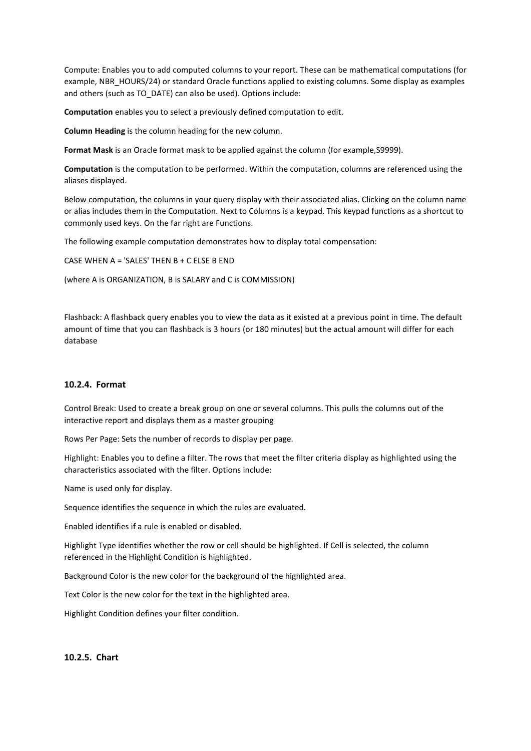Compute: Enables you to add computed columns to your report. These can be mathematical computations (for example, NBR\_HOURS/24) or standard Oracle functions applied to existing columns. Some display as examples and others (such as TO\_DATE) can also be used). Options include:

**Computation** enables you to select a previously defined computation to edit.

**Column Heading** is the column heading for the new column.

**Format Mask** is an Oracle format mask to be applied against the column (for example,S9999).

**Computation** is the computation to be performed. Within the computation, columns are referenced using the aliases displayed.

Below computation, the columns in your query display with their associated alias. Clicking on the column name or alias includes them in the Computation. Next to Columns is a keypad. This keypad functions as a shortcut to commonly used keys. On the far right are Functions.

The following example computation demonstrates how to display total compensation:

CASE WHEN A = 'SALES' THEN B + C ELSE B END

(where A is ORGANIZATION, B is SALARY and C is COMMISSION)

Flashback: A flashback query enables you to view the data as it existed at a previous point in time. The default amount of time that you can flashback is 3 hours (or 180 minutes) but the actual amount will differ for each database

#### **10.2.4. Format**

Control Break: Used to create a break group on one or several columns. This pulls the columns out of the interactive report and displays them as a master grouping

Rows Per Page: Sets the number of records to display per page.

Highlight: Enables you to define a filter. The rows that meet the filter criteria display as highlighted using the characteristics associated with the filter. Options include:

Name is used only for display.

Sequence identifies the sequence in which the rules are evaluated.

Enabled identifies if a rule is enabled or disabled.

Highlight Type identifies whether the row or cell should be highlighted. If Cell is selected, the column referenced in the Highlight Condition is highlighted.

Background Color is the new color for the background of the highlighted area.

Text Color is the new color for the text in the highlighted area.

Highlight Condition defines your filter condition.

#### **10.2.5. Chart**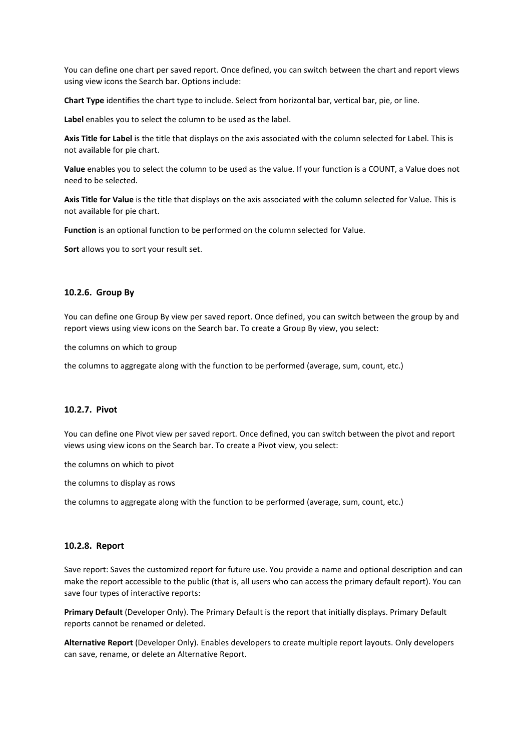You can define one chart per saved report. Once defined, you can switch between the chart and report views using view icons the Search bar. Options include:

**Chart Type** identifies the chart type to include. Select from horizontal bar, vertical bar, pie, or line.

**Label** enables you to select the column to be used as the label.

**Axis Title for Label** is the title that displays on the axis associated with the column selected for Label. This is not available for pie chart.

**Value** enables you to select the column to be used as the value. If your function is a COUNT, a Value does not need to be selected.

**Axis Title for Value** is the title that displays on the axis associated with the column selected for Value. This is not available for pie chart.

**Function** is an optional function to be performed on the column selected for Value.

**Sort** allows you to sort your result set.

#### **10.2.6. Group By**

You can define one Group By view per saved report. Once defined, you can switch between the group by and report views using view icons on the Search bar. To create a Group By view, you select:

the columns on which to group

the columns to aggregate along with the function to be performed (average, sum, count, etc.)

#### **10.2.7. Pivot**

You can define one Pivot view per saved report. Once defined, you can switch between the pivot and report views using view icons on the Search bar. To create a Pivot view, you select:

the columns on which to pivot

the columns to display as rows

the columns to aggregate along with the function to be performed (average, sum, count, etc.)

#### **10.2.8. Report**

Save report: Saves the customized report for future use. You provide a name and optional description and can make the report accessible to the public (that is, all users who can access the primary default report). You can save four types of interactive reports:

**Primary Default** (Developer Only). The Primary Default is the report that initially displays. Primary Default reports cannot be renamed or deleted.

**Alternative Report** (Developer Only). Enables developers to create multiple report layouts. Only developers can save, rename, or delete an Alternative Report.